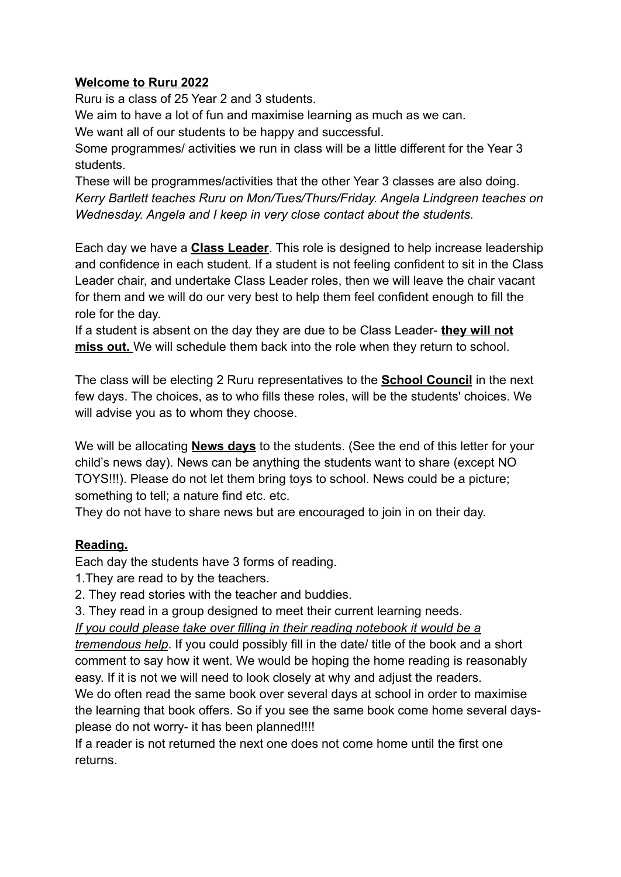### **Welcome to Ruru 2022**

Ruru is a class of 25 Year 2 and 3 students.

We aim to have a lot of fun and maximise learning as much as we can.

We want all of our students to be happy and successful.

Some programmes/ activities we run in class will be a little different for the Year 3 students.

These will be programmes/activities that the other Year 3 classes are also doing. *Kerry Bartlett teaches Ruru on Mon/Tues/Thurs/Friday. Angela Lindgreen teaches on Wednesday. Angela and I keep in very close contact about the students.*

Each day we have a **Class Leader**. This role is designed to help increase leadership and confidence in each student. If a student is not feeling confident to sit in the Class Leader chair, and undertake Class Leader roles, then we will leave the chair vacant for them and we will do our very best to help them feel confident enough to fill the role for the day.

If a student is absent on the day they are due to be Class Leader- **they will not miss out.** We will schedule them back into the role when they return to school.

The class will be electing 2 Ruru representatives to the **School Council** in the next few days. The choices, as to who fills these roles, will be the students' choices. We will advise you as to whom they choose.

We will be allocating **News days** to the students. (See the end of this letter for your child's news day). News can be anything the students want to share (except NO TOYS!!!). Please do not let them bring toys to school. News could be a picture; something to tell; a nature find etc. etc.

They do not have to share news but are encouraged to join in on their day.

# **Reading.**

Each day the students have 3 forms of reading.

1.They are read to by the teachers.

2. They read stories with the teacher and buddies.

3. They read in a group designed to meet their current learning needs.

*If you could please take over filling in their reading notebook it would be a*

*tremendous help*. If you could possibly fill in the date/ title of the book and a short comment to say how it went. We would be hoping the home reading is reasonably easy. If it is not we will need to look closely at why and adjust the readers.

We do often read the same book over several days at school in order to maximise the learning that book offers. So if you see the same book come home several daysplease do not worry- it has been planned!!!!

If a reader is not returned the next one does not come home until the first one returns.